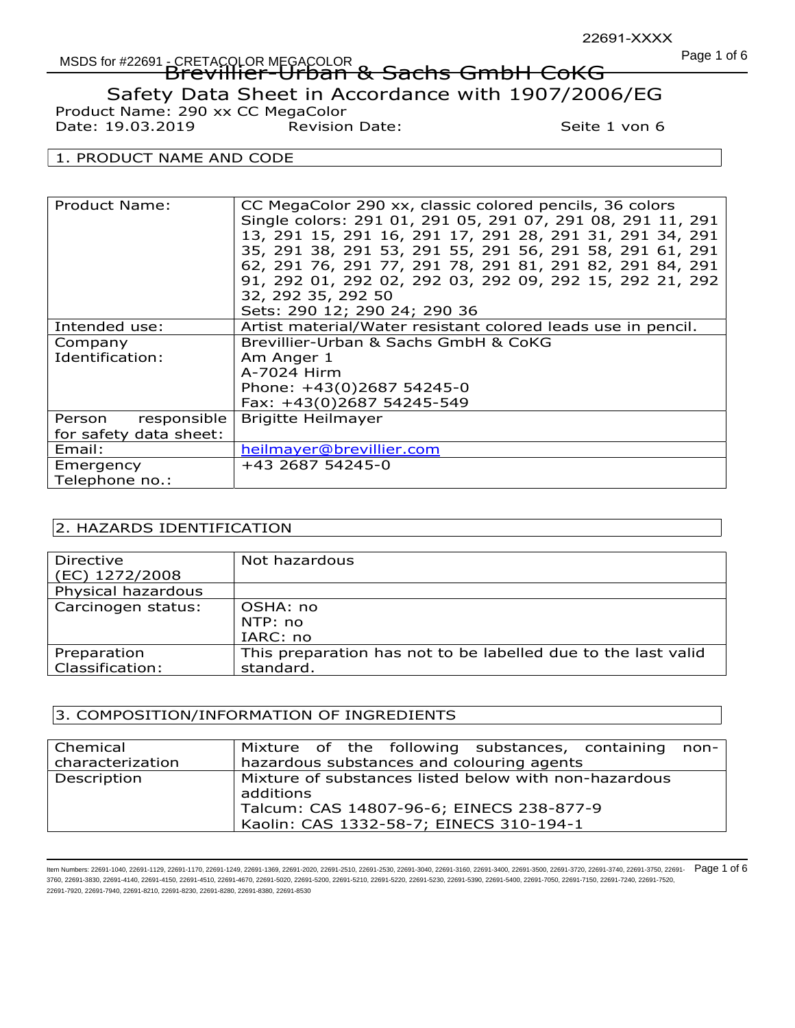# MSDS for #22691 - CRETACOLOR MEGACOLOR A COMPUTER CONTROLLY CONTROLLY CONTROLLY CONTROLLY CONTROLLY CONTROLLY CONTROLLY CONTROLLY CONTROLLY CONTROLLY CONTROLLY CONTROLLY CONTROLLY CONTROLLY CONTROLLY CONTROLLY CONTROLLY CO EREIAULOR MEGALOLOR<br>Brevillier-Urban & Sachs GmbH CoKG Safety Data Sheet in Accordance with 1907/2006/EG Product Name: 290 xx CC MegaColor Date: 19.03.2019 Revision Date: Seite 1 von 6

# 1. PRODUCT NAME AND CODE

| Product Name:          | CC MegaColor 290 xx, classic colored pencils, 36 colors      |
|------------------------|--------------------------------------------------------------|
|                        | Single colors: 291 01, 291 05, 291 07, 291 08, 291 11, 291   |
|                        | 13, 291 15, 291 16, 291 17, 291 28, 291 31, 291 34, 291      |
|                        | 35, 291 38, 291 53, 291 55, 291 56, 291 58, 291 61, 291      |
|                        | 62, 291 76, 291 77, 291 78, 291 81, 291 82, 291 84, 291      |
|                        | 91, 292 01, 292 02, 292 03, 292 09, 292 15, 292 21, 292      |
|                        | 32, 292 35, 292 50                                           |
|                        | Sets: 290 12; 290 24; 290 36                                 |
| Intended use:          | Artist material/Water resistant colored leads use in pencil. |
| Company                | Brevillier-Urban & Sachs GmbH & CoKG                         |
| Identification:        | Am Anger 1                                                   |
|                        | A-7024 Hirm                                                  |
|                        | Phone: +43(0)2687 54245-0                                    |
|                        | Fax: +43(0)2687 54245-549                                    |
| responsible<br>Person  | <b>Brigitte Heilmayer</b>                                    |
| for safety data sheet: |                                                              |
| Email:                 | heilmayer@brevillier.com                                     |
| Emergency              | +43 2687 54245-0                                             |
| Telephone no.:         |                                                              |

#### 2. HAZARDS IDENTIFICATION

| Directive          | Not hazardous                                                 |
|--------------------|---------------------------------------------------------------|
| (EC) 1272/2008     |                                                               |
| Physical hazardous |                                                               |
| Carcinogen status: | OSHA: no                                                      |
|                    | NTP: no                                                       |
|                    | IARC: no                                                      |
| Preparation        | This preparation has not to be labelled due to the last valid |
| Classification:    | standard.                                                     |
|                    |                                                               |

#### 3. COMPOSITION/INFORMATION OF INGREDIENTS

| <b>Chemical</b>  | Mixture of the following substances, containing non-                                                                                                      |
|------------------|-----------------------------------------------------------------------------------------------------------------------------------------------------------|
| characterization | hazardous substances and colouring agents                                                                                                                 |
| Description      | Mixture of substances listed below with non-hazardous<br>additions<br>Talcum: CAS 14807-96-6; EINECS 238-877-9<br>Kaolin: CAS 1332-58-7; EINECS 310-194-1 |

ltem Numbers: 22691-1040, 22691-1129, 22691-1170, 22691-1249, 22691-1369, 22691-2020, 22691-2510, 22691-3300, 22691-3700, 22691-3400, 22691-3400, 22691-3720, 22691-3740, 22691-3740, 22691-3750, 22691-3750, 22691-3740, 2269 3760, 22691-3830, 22691-4140, 22691-4150, 22691-4510, 22691-4670, 22691-5020, 22691-5200, 22691-5210, 22691-5220, 22691-5230, 22691-5390, 22691-5400, 22691-7050, 22691-7150, 22691-7240, 22691-7520, 22691-7920, 22691-7940, 22691-8210, 22691-8230, 22691-8280, 22691-8380, 22691-8530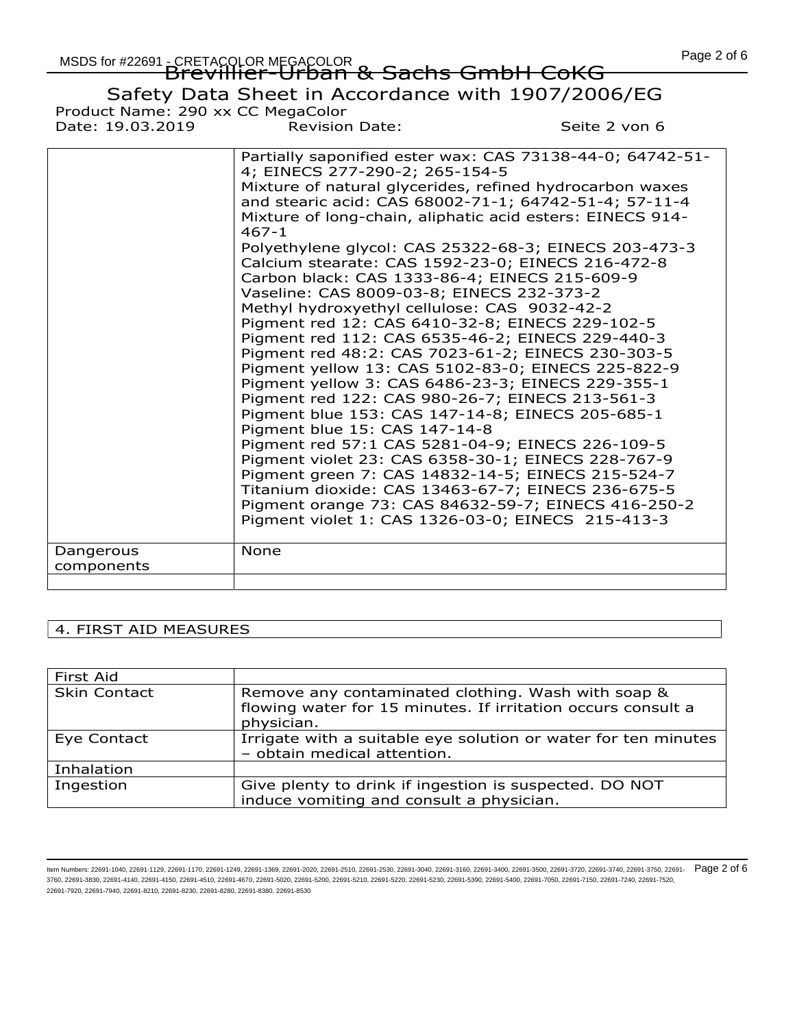|                                   | MSDS for #22691 - CRETACOLOR MEGACOLOR<br>Brevillier-Urban & Sachs GmbH CoKG                                                                                                                                                                                                                                                                                                                                                                                                                                                                                                                                                                                                                                                                                                                                                                                                                                                                                                                                                                                                                                                                                                                                                                                                                           |               | Page 2 of 6 |
|-----------------------------------|--------------------------------------------------------------------------------------------------------------------------------------------------------------------------------------------------------------------------------------------------------------------------------------------------------------------------------------------------------------------------------------------------------------------------------------------------------------------------------------------------------------------------------------------------------------------------------------------------------------------------------------------------------------------------------------------------------------------------------------------------------------------------------------------------------------------------------------------------------------------------------------------------------------------------------------------------------------------------------------------------------------------------------------------------------------------------------------------------------------------------------------------------------------------------------------------------------------------------------------------------------------------------------------------------------|---------------|-------------|
|                                   | Safety Data Sheet in Accordance with 1907/2006/EG                                                                                                                                                                                                                                                                                                                                                                                                                                                                                                                                                                                                                                                                                                                                                                                                                                                                                                                                                                                                                                                                                                                                                                                                                                                      |               |             |
| Product Name: 290 xx CC MegaColor |                                                                                                                                                                                                                                                                                                                                                                                                                                                                                                                                                                                                                                                                                                                                                                                                                                                                                                                                                                                                                                                                                                                                                                                                                                                                                                        |               |             |
| Date: 19.03.2019                  | <b>Revision Date:</b>                                                                                                                                                                                                                                                                                                                                                                                                                                                                                                                                                                                                                                                                                                                                                                                                                                                                                                                                                                                                                                                                                                                                                                                                                                                                                  | Seite 2 von 6 |             |
|                                   | Partially saponified ester wax: CAS 73138-44-0; 64742-51-<br>4; EINECS 277-290-2; 265-154-5<br>Mixture of natural glycerides, refined hydrocarbon waxes<br>and stearic acid: CAS 68002-71-1; 64742-51-4; 57-11-4<br>Mixture of long-chain, aliphatic acid esters: EINECS 914-<br>$467 - 1$<br>Polyethylene glycol: CAS 25322-68-3; EINECS 203-473-3<br>Calcium stearate: CAS 1592-23-0; EINECS 216-472-8<br>Carbon black: CAS 1333-86-4; EINECS 215-609-9<br>Vaseline: CAS 8009-03-8; EINECS 232-373-2<br>Methyl hydroxyethyl cellulose: CAS 9032-42-2<br>Pigment red 12: CAS 6410-32-8; EINECS 229-102-5<br>Pigment red 112: CAS 6535-46-2; EINECS 229-440-3<br>Pigment red 48:2: CAS 7023-61-2; EINECS 230-303-5<br>Pigment yellow 13: CAS 5102-83-0; EINECS 225-822-9<br>Pigment yellow 3: CAS 6486-23-3; EINECS 229-355-1<br>Pigment red 122: CAS 980-26-7; EINECS 213-561-3<br>Pigment blue 153: CAS 147-14-8; EINECS 205-685-1<br>Pigment blue 15: CAS 147-14-8<br>Pigment red 57:1 CAS 5281-04-9; EINECS 226-109-5<br>Pigment violet 23: CAS 6358-30-1; EINECS 228-767-9<br>Pigment green 7: CAS 14832-14-5; EINECS 215-524-7<br>Titanium dioxide: CAS 13463-67-7; EINECS 236-675-5<br>Pigment orange 73: CAS 84632-59-7; EINECS 416-250-2<br>Pigment violet 1: CAS 1326-03-0; EINECS 215-413-3 |               |             |
| Dangerous<br>components           | None                                                                                                                                                                                                                                                                                                                                                                                                                                                                                                                                                                                                                                                                                                                                                                                                                                                                                                                                                                                                                                                                                                                                                                                                                                                                                                   |               |             |
|                                   |                                                                                                                                                                                                                                                                                                                                                                                                                                                                                                                                                                                                                                                                                                                                                                                                                                                                                                                                                                                                                                                                                                                                                                                                                                                                                                        |               |             |

# 4. FIRST AID MEASURES

| First Aid           |                                                                                                                                  |
|---------------------|----------------------------------------------------------------------------------------------------------------------------------|
| <b>Skin Contact</b> | Remove any contaminated clothing. Wash with soap &<br>flowing water for 15 minutes. If irritation occurs consult a<br>physician. |
| Eye Contact         | Irrigate with a suitable eye solution or water for ten minutes<br>- obtain medical attention.                                    |
| Inhalation          |                                                                                                                                  |
| Ingestion           | Give plenty to drink if ingestion is suspected. DO NOT<br>induce vomiting and consult a physician.                               |

ltem Numbers: 22691-1140, 22691-1129, 22691-1170, 22691-1249, 22691-1369, 22691-2020, 22691-2510, 22691-3300, 22691-3100, 22691-3100, 22691-3400, 22691-3720, 22691-3740, 22691-3740, 22691-3750, 22691-3720, 22691-3740, 2269 3760, 22691-3830, 22691-4140, 22691-4150, 22691-4510, 22691-4670, 22691-5020, 22691-5200, 22691-5210, 22691-5220, 22691-5230, 22691-5390, 22691-5400, 22691-7050, 22691-7150, 22691-7240, 22691-7520, 22691-7920, 22691-7940, 22691-8210, 22691-8230, 22691-8280, 22691-8380, 22691-8530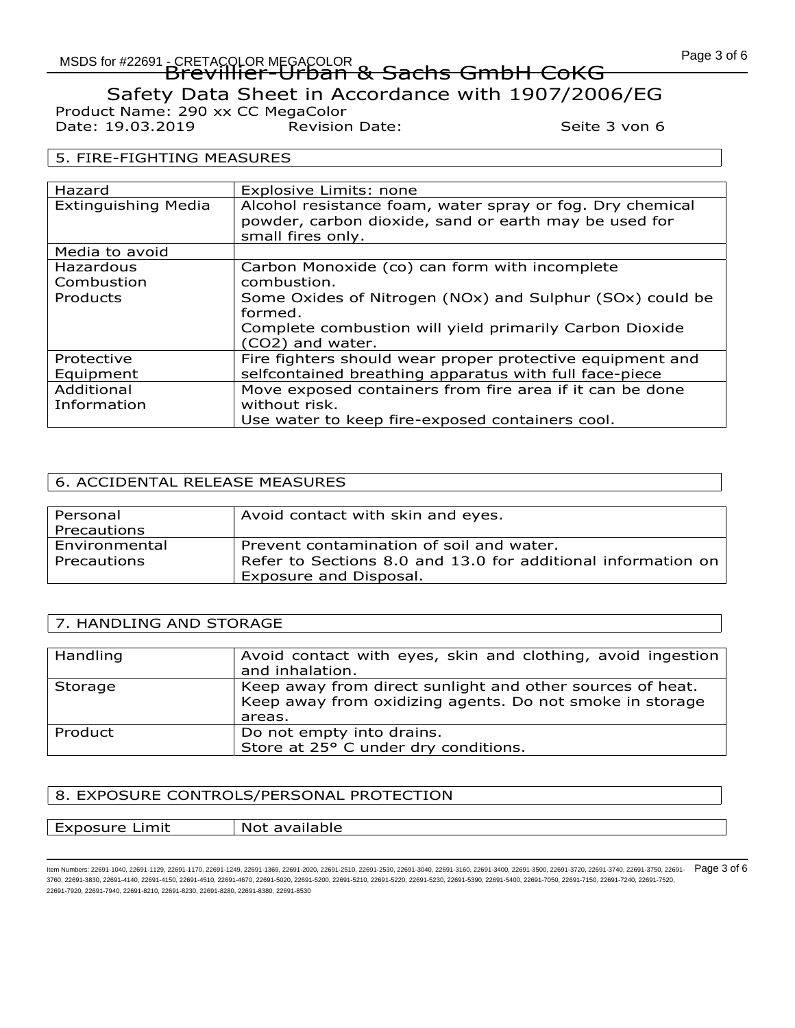# MSDS for #22691 - CRETACOLOR MEGACOLOR A COMPUTER CONTROLLY CONTROLLY CONTROLLY CONTROLLY CONTROLLY CONTROLLY CONTROLLY CONTROLLY CONTROLLY CONTROLLY CONTROLLY CONTROLLY CONTROLLY CONTROLLY CONTROLLY CONTROLLY CONTROLLY CO

EREIAULOR MEGALOLOR<br>Brevillier-Urban & Sachs GmbH CoKG

# Safety Data Sheet in Accordance with 1907/2006/EG

Product Name: 290 xx CC MegaColor Date: 19.03.2019 Revision Date: Seite 3 von 6

#### 5. FIRE-FIGHTING MEASURES

| Hazard                     | Explosive Limits: none                                                                                             |
|----------------------------|--------------------------------------------------------------------------------------------------------------------|
| <b>Extinguishing Media</b> | Alcohol resistance foam, water spray or fog. Dry chemical<br>powder, carbon dioxide, sand or earth may be used for |
|                            | small fires only.                                                                                                  |
| Media to avoid             |                                                                                                                    |
| <b>Hazardous</b>           | Carbon Monoxide (co) can form with incomplete                                                                      |
| Combustion                 | combustion.                                                                                                        |
| Products                   | Some Oxides of Nitrogen (NOx) and Sulphur (SOx) could be                                                           |
|                            | formed.                                                                                                            |
|                            | Complete combustion will yield primarily Carbon Dioxide                                                            |
|                            | (CO2) and water.                                                                                                   |
| Protective                 | Fire fighters should wear proper protective equipment and                                                          |
| Equipment                  | selfcontained breathing apparatus with full face-piece                                                             |
| Additional                 | Move exposed containers from fire area if it can be done                                                           |
| Information                | without risk.                                                                                                      |
|                            | Use water to keep fire-exposed containers cool.                                                                    |

#### 6. ACCIDENTAL RELEASE MEASURES

| Personal<br>Precautions      | Avoid contact with skin and eyes.                                                                                                  |
|------------------------------|------------------------------------------------------------------------------------------------------------------------------------|
| Environmental<br>Precautions | Prevent contamination of soil and water.<br>Refer to Sections 8.0 and 13.0 for additional information on<br>Exposure and Disposal. |

#### 7. HANDLING AND STORAGE

| Handling | Avoid contact with eyes, skin and clothing, avoid ingestion<br>and inhalation.                                                  |
|----------|---------------------------------------------------------------------------------------------------------------------------------|
| Storage  | Keep away from direct sunlight and other sources of heat.<br>Keep away from oxidizing agents. Do not smoke in storage<br>areas. |
| Product  | Do not empty into drains.<br>Store at 25° C under dry conditions.                                                               |

#### 8. EXPOSURE CONTROLS/PERSONAL PROTECTION

Exposure Limit | Not available

ltem Numbers: 22691-1040, 22691-1129, 22691-1170, 22691-1249, 22691-1369, 22691-2020, 22691-2510, 22691-3300, 22691-3700, 22691-3400, 22691-3400, 22691-3720, 22691-3740, 22691-3740, 22691-3750, 22691-3750, 22691-3750, 2269 3760, 22691-3830, 22691-4140, 22691-4150, 22691-4510, 22691-4670, 22691-5020, 22691-5200, 22691-5210, 22691-5220, 22691-5230, 22691-5390, 22691-5400, 22691-7050, 22691-7150, 22691-7240, 22691-7520, 22691-7920, 22691-7940, 22691-8210, 22691-8230, 22691-8280, 22691-8380, 22691-8530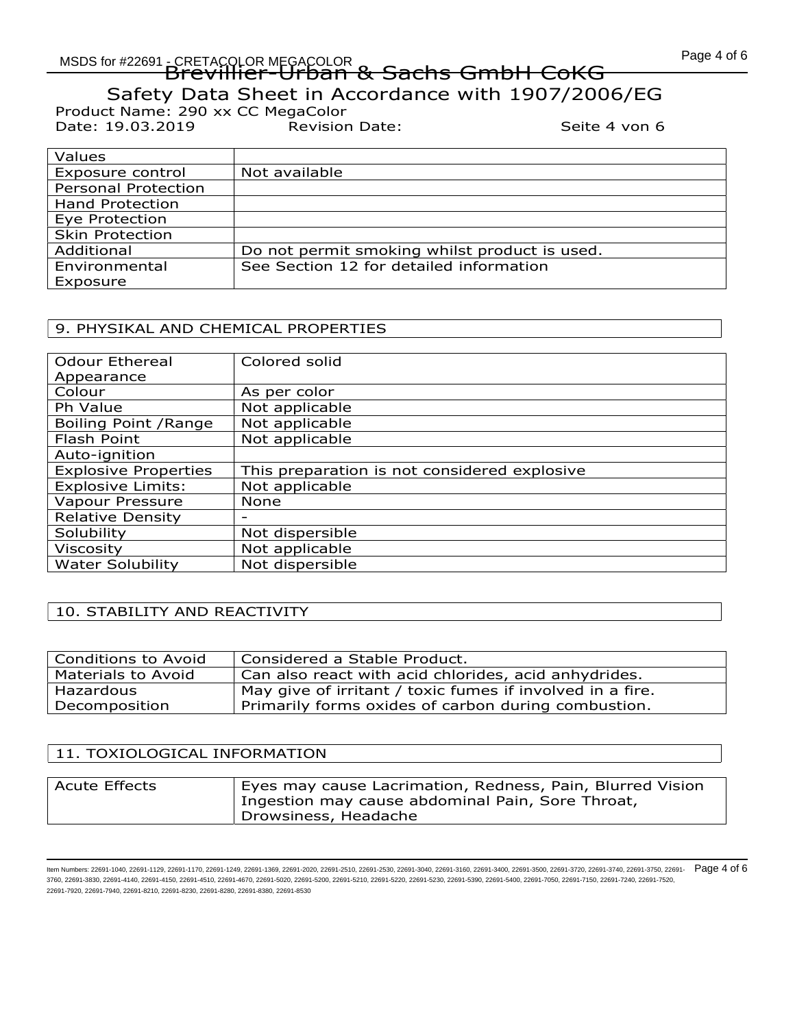# EREIAULOR MEGALOLOR<br>Brevillier-Urban & Sachs GmbH CoKG

Safety Data Sheet in Accordance with 1907/2006/EG

Product Name: 290 xx CC MegaColor Date: 19.03.2019 Revision Date: Seite 4 von 6

| Values                     |                                               |
|----------------------------|-----------------------------------------------|
| Exposure control           | Not available                                 |
| <b>Personal Protection</b> |                                               |
| <b>Hand Protection</b>     |                                               |
| Eye Protection             |                                               |
| <b>Skin Protection</b>     |                                               |
| Additional                 | Do not permit smoking whilst product is used. |
| Environmental              | See Section 12 for detailed information       |
| Exposure                   |                                               |

#### 9. PHYSIKAL AND CHEMICAL PROPERTIES

| <b>Odour Ethereal</b>       | Colored solid                                |
|-----------------------------|----------------------------------------------|
| Appearance                  |                                              |
| Colour                      | As per color                                 |
| Ph Value                    | Not applicable                               |
| Boiling Point / Range       | Not applicable                               |
| Flash Point                 | Not applicable                               |
| Auto-ignition               |                                              |
| <b>Explosive Properties</b> | This preparation is not considered explosive |
| <b>Explosive Limits:</b>    | Not applicable                               |
| Vapour Pressure             | None                                         |
| <b>Relative Density</b>     |                                              |
| Solubility                  | Not dispersible                              |
| <b>Viscosity</b>            | Not applicable                               |
| <b>Water Solubility</b>     | Not dispersible                              |

## 10. STABILITY AND REACTIVITY

| <b>Conditions to Avoid</b> | Considered a Stable Product.                              |
|----------------------------|-----------------------------------------------------------|
| Materials to Avoid         | Can also react with acid chlorides, acid anhydrides.      |
| Hazardous                  | May give of irritant / toxic fumes if involved in a fire. |
| Decomposition              | Primarily forms oxides of carbon during combustion.       |

# 11. TOXIOLOGICAL INFORMATION

| <b>Acute Effects</b> | Eyes may cause Lacrimation, Redness, Pain, Blurred Vision |
|----------------------|-----------------------------------------------------------|
|                      | Ingestion may cause abdominal Pain, Sore Throat,          |
|                      | I Drowsiness, Headache                                    |

ltem Numbers: 22691-1140, 22691-1129, 22691-1170, 22691-1249, 22691-1369, 22691-2020, 22691-2510, 22691-3730, 22691-3700, 22691-3400, 22691-3400, 22691-3720, 22691-3720, 22691-3740, 22691-3750, 22691-3750, 22691-3740, 2269 3760, 22691-3830, 22691-4140, 22691-4150, 22691-4510, 22691-4670, 22691-5020, 22691-5200, 22691-5210, 22691-5220, 22691-5230, 22691-5390, 22691-5400, 22691-7050, 22691-7150, 22691-7240, 22691-7520, 22691-7920, 22691-7940, 22691-8210, 22691-8230, 22691-8280, 22691-8380, 22691-8530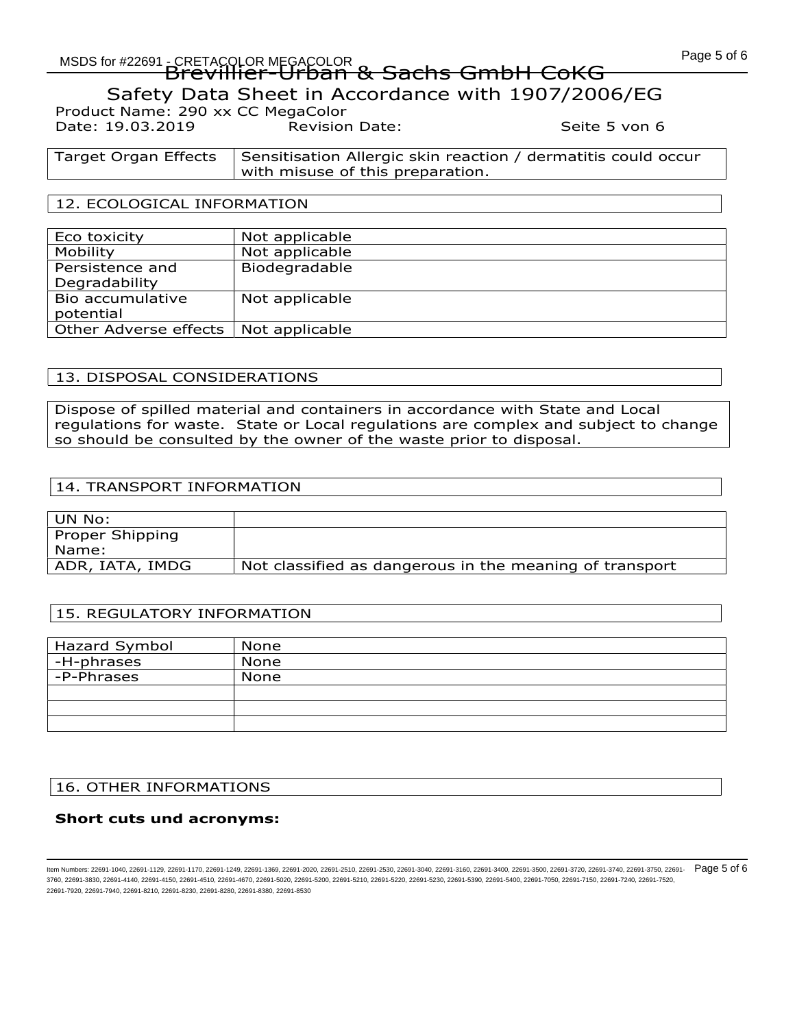Product Name: 290 xx CC MegaColor Date: 19.03.2019 Revision Date: Seite 5 von 6

| Target Organ Effects   Sensitisation Allergic skin reaction / dermatitis could occur |
|--------------------------------------------------------------------------------------|
| with misuse of this preparation.                                                     |

#### 12. ECOLOGICAL INFORMATION

| Eco toxicity          | Not applicable |
|-----------------------|----------------|
| Mobility              | Not applicable |
| Persistence and       | Biodegradable  |
| Degradability         |                |
| Bio accumulative      | Not applicable |
| potential             |                |
| Other Adverse effects | Not applicable |

#### 13. DISPOSAL CONSIDERATIONS

Dispose of spilled material and containers in accordance with State and Local regulations for waste. State or Local regulations are complex and subject to change so should be consulted by the owner of the waste prior to disposal.

#### 14. TRANSPORT INFORMATION

| ' UN No:         |                                                         |
|------------------|---------------------------------------------------------|
| Proper Shipping  |                                                         |
| Name:            |                                                         |
| ADR, IATA, IMDG! | Not classified as dangerous in the meaning of transport |

## 15. REGULATORY INFORMATION

| Hazard Symbol | <b>None</b> |
|---------------|-------------|
| '-H-phrases   | None        |
| -P-Phrases    | None        |
|               |             |
|               |             |
|               |             |

## 16. OTHER INFORMATIONS

#### Short cuts und acronyms:

ltem Numbers: 22691-1040, 22691-1129, 22691-1170, 22691-1249, 22691-1369, 22691-2020, 22691-2510, 22691-3730, 22691-3700, 22691-3400, 22691-3500, 22691-3720, 22691-3740, 22691-3740, 22691-3750, 22691-3750, 22691-3740, 2269 3760, 22691-3830, 22691-4140, 22691-4150, 22691-4510, 22691-4670, 22691-5020, 22691-5200, 22691-5210, 22691-5220, 22691-5230, 22691-5390, 22691-5400, 22691-7050, 22691-7150, 22691-7240, 22691-7520, 22691-7920, 22691-7940, 22691-8210, 22691-8230, 22691-8280, 22691-8380, 22691-8530